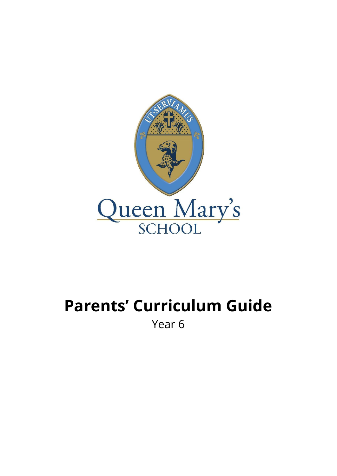

## **Parents' Curriculum Guide** Year 6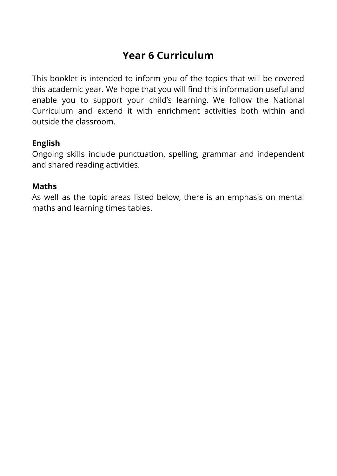## **Year 6 Curriculum**

This booklet is intended to inform you of the topics that will be covered this academic year. We hope that you will find this information useful and enable you to support your child's learning. We follow the National Curriculum and extend it with enrichment activities both within and outside the classroom.

## **English**

Ongoing skills include punctuation, spelling, grammar and independent and shared reading activities.

## **Maths**

As well as the topic areas listed below, there is an emphasis on mental maths and learning times tables.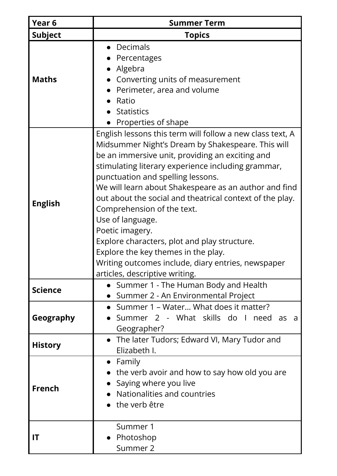| Year <sub>6</sub> | <b>Summer Term</b>                                                                                                                                                                                                                                                                                                                                                                                                                                                                                                                                                                                                                    |
|-------------------|---------------------------------------------------------------------------------------------------------------------------------------------------------------------------------------------------------------------------------------------------------------------------------------------------------------------------------------------------------------------------------------------------------------------------------------------------------------------------------------------------------------------------------------------------------------------------------------------------------------------------------------|
| <b>Subject</b>    | <b>Topics</b>                                                                                                                                                                                                                                                                                                                                                                                                                                                                                                                                                                                                                         |
| <b>Maths</b>      | Decimals<br>Percentages<br>Algebra<br>Converting units of measurement<br>Perimeter, area and volume<br>Ratio<br><b>Statistics</b><br>Properties of shape                                                                                                                                                                                                                                                                                                                                                                                                                                                                              |
| <b>English</b>    | English lessons this term will follow a new class text, A<br>Midsummer Night's Dream by Shakespeare. This will<br>be an immersive unit, providing an exciting and<br>stimulating literary experience including grammar,<br>punctuation and spelling lessons.<br>We will learn about Shakespeare as an author and find<br>out about the social and theatrical context of the play.<br>Comprehension of the text.<br>Use of language.<br>Poetic imagery.<br>Explore characters, plot and play structure.<br>Explore the key themes in the play.<br>Writing outcomes include, diary entries, newspaper<br>articles, descriptive writing. |
| <b>Science</b>    | • Summer 1 - The Human Body and Health<br>• Summer 2 - An Environmental Project                                                                                                                                                                                                                                                                                                                                                                                                                                                                                                                                                       |
| Geography         | • Summer 1 – Water What does it matter?<br>Summer 2 - What skills do I need as a<br>Geographer?                                                                                                                                                                                                                                                                                                                                                                                                                                                                                                                                       |
| <b>History</b>    | • The later Tudors; Edward VI, Mary Tudor and<br>Elizabeth I.                                                                                                                                                                                                                                                                                                                                                                                                                                                                                                                                                                         |
| <b>French</b>     | $\bullet$ Family<br>$\bullet$ the verb avoir and how to say how old you are<br>Saying where you live<br>Nationalities and countries<br>the verb être                                                                                                                                                                                                                                                                                                                                                                                                                                                                                  |
| IT                | Summer 1<br>Photoshop<br>Summer 2                                                                                                                                                                                                                                                                                                                                                                                                                                                                                                                                                                                                     |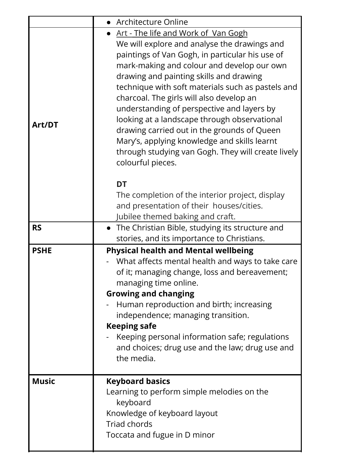|              | • Architecture Online                                                                                                                                                                                                                                                                                                                                                                                                                                                                                                                                                                                            |
|--------------|------------------------------------------------------------------------------------------------------------------------------------------------------------------------------------------------------------------------------------------------------------------------------------------------------------------------------------------------------------------------------------------------------------------------------------------------------------------------------------------------------------------------------------------------------------------------------------------------------------------|
| Art/DT       | <u> Art - The life and Work of Van Gogh</u><br>We will explore and analyse the drawings and<br>paintings of Van Gogh, in particular his use of<br>mark-making and colour and develop our own<br>drawing and painting skills and drawing<br>technique with soft materials such as pastels and<br>charcoal. The girls will also develop an<br>understanding of perspective and layers by<br>looking at a landscape through observational<br>drawing carried out in the grounds of Queen<br>Mary's, applying knowledge and skills learnt<br>through studying van Gogh. They will create lively<br>colourful pieces. |
|              | <b>DT</b><br>The completion of the interior project, display<br>and presentation of their houses/cities.<br>Jubilee themed baking and craft.                                                                                                                                                                                                                                                                                                                                                                                                                                                                     |
| <b>RS</b>    | The Christian Bible, studying its structure and<br>stories, and its importance to Christians.                                                                                                                                                                                                                                                                                                                                                                                                                                                                                                                    |
| <b>PSHE</b>  | <b>Physical health and Mental wellbeing</b><br>What affects mental health and ways to take care<br>of it; managing change, loss and bereavement;<br>managing time online.<br><b>Growing and changing</b><br>Human reproduction and birth; increasing<br>independence; managing transition.<br><b>Keeping safe</b><br>Keeping personal information safe; regulations<br>and choices; drug use and the law; drug use and<br>the media.                                                                                                                                                                             |
| <b>Music</b> | <b>Keyboard basics</b><br>Learning to perform simple melodies on the<br>keyboard<br>Knowledge of keyboard layout<br><b>Triad chords</b><br>Toccata and fugue in D minor                                                                                                                                                                                                                                                                                                                                                                                                                                          |